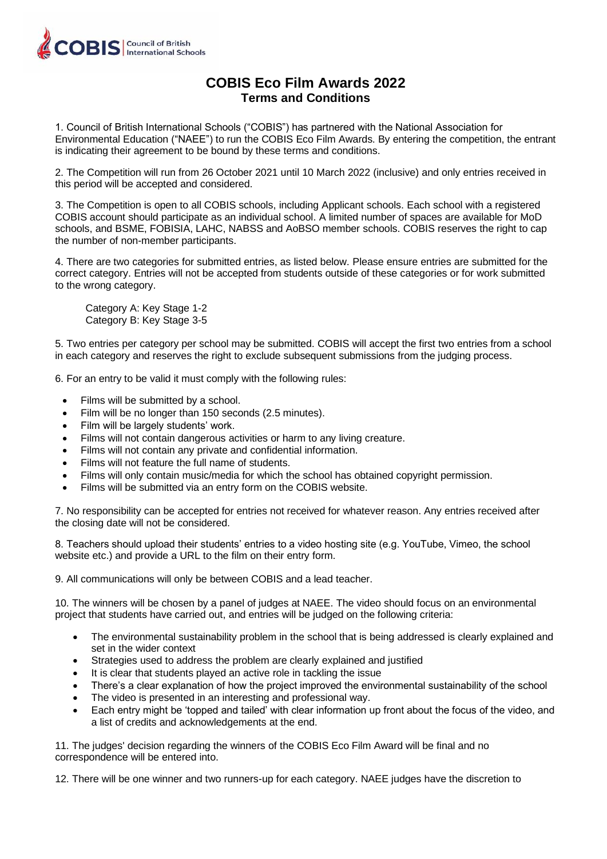

## **COBIS Eco Film Awards 2022 Terms and Conditions**

1. Council of British International Schools ("COBIS") has partnered with the National Association for Environmental Education ("NAEE") to run the COBIS Eco Film Awards. By entering the competition, the entrant is indicating their agreement to be bound by these terms and conditions.

2. The Competition will run from 26 October 2021 until 10 March 2022 (inclusive) and only entries received in this period will be accepted and considered.

3. The Competition is open to all COBIS schools, including Applicant schools. Each school with a registered COBIS account should participate as an individual school. A limited number of spaces are available for MoD schools, and BSME, FOBISIA, LAHC, NABSS and AoBSO member schools. COBIS reserves the right to cap the number of non-member participants.

4. There are two categories for submitted entries, as listed below. Please ensure entries are submitted for the correct category. Entries will not be accepted from students outside of these categories or for work submitted to the wrong category.

Category A: Key Stage 1-2 Category B: Key Stage 3-5

5. Two entries per category per school may be submitted. COBIS will accept the first two entries from a school in each category and reserves the right to exclude subsequent submissions from the judging process.

6. For an entry to be valid it must comply with the following rules:

- Films will be submitted by a school.
- Film will be no longer than 150 seconds (2.5 minutes).
- Film will be largely students' work.
- Films will not contain dangerous activities or harm to any living creature.
- Films will not contain any private and confidential information.
- Films will not feature the full name of students.
- Films will only contain music/media for which the school has obtained copyright permission.
- Films will be submitted via an entry form on the COBIS website.

7. No responsibility can be accepted for entries not received for whatever reason. Any entries received after the closing date will not be considered.

8. Teachers should upload their students' entries to a video hosting site (e.g. YouTube, Vimeo, the school website etc.) and provide a URL to the film on their entry form.

9. All communications will only be between COBIS and a lead teacher.

10. The winners will be chosen by a panel of judges at NAEE. The video should focus on an environmental project that students have carried out, and entries will be judged on the following criteria:

- The environmental sustainability problem in the school that is being addressed is clearly explained and set in the wider context
- Strategies used to address the problem are clearly explained and justified
- It is clear that students played an active role in tackling the issue
- There's a clear explanation of how the project improved the environmental sustainability of the school
- The video is presented in an interesting and professional way.
- Each entry might be 'topped and tailed' with clear information up front about the focus of the video, and a list of credits and acknowledgements at the end.

11. The judges' decision regarding the winners of the COBIS Eco Film Award will be final and no correspondence will be entered into.

12. There will be one winner and two runners-up for each category. NAEE judges have the discretion to